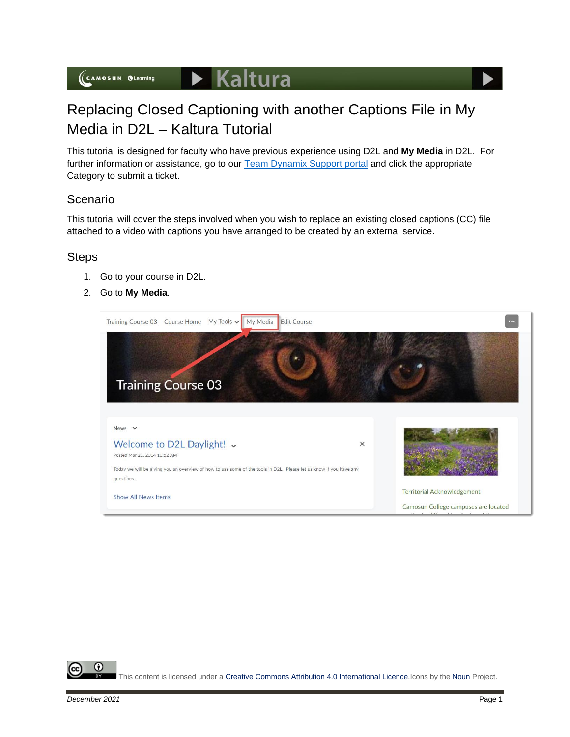

## Replacing Closed Captioning with another Captions File in My Media in D2L – Kaltura Tutorial

This tutorial is designed for faculty who have previous experience using D2L and **My Media** in D2L. For further information or assistance, go to our [Team Dynamix Support portal](https://camosun.teamdynamix.com/TDClient/67/Portal/Requests/ServiceCatalog?CategoryID=523) and click the appropriate Category to submit a ticket.

## Scenario

This tutorial will cover the steps involved when you wish to replace an existing closed captions (CC) file attached to a video with captions you have arranged to be created by an external service.

## **Steps**

- 1. Go to your course in D2L.
- 2. Go to **My Media**.



G This content is licensed under [a Creative Commons Attribution 4.0 International Licence.I](https://creativecommons.org/licenses/by/4.0/)cons by the [Noun](https://creativecommons.org/website-icons/) Project.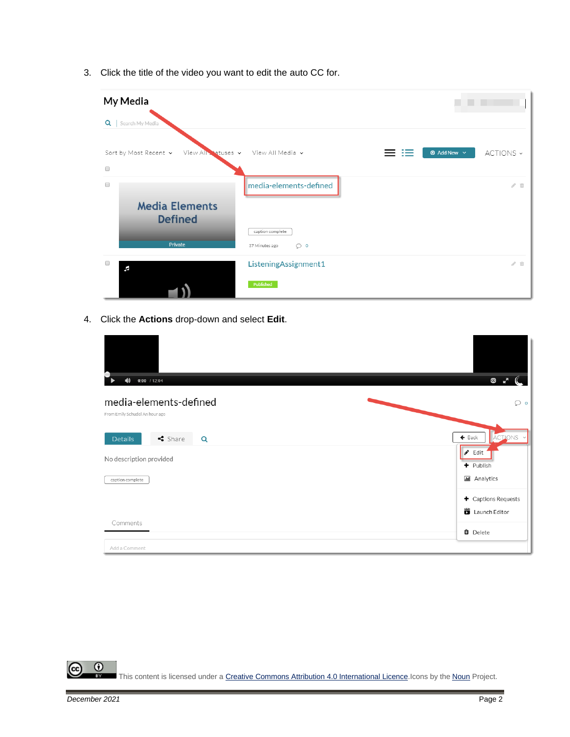3. Click the title of the video you want to edit the auto CC for.

| My Media                                     |                                               |                                            |
|----------------------------------------------|-----------------------------------------------|--------------------------------------------|
| $Q \mid$<br>Search My Media                  |                                               |                                            |
| Sort by Most Recent v<br>View All Statuses v | View All Media v                              | $\odot$ Add New $\sim$<br>ACTIONS ~<br>$=$ |
| $\Box$<br>$\Box$                             | media-elements-defined                        | $\angle$ ii                                |
| <b>Media Elements</b><br><b>Defined</b>      |                                               |                                            |
| Private                                      | caption complete<br>37 Minutes ago<br>$\circ$ |                                            |
| $\begin{array}{ccc} \hline \end{array}$<br>F | ListeningAssignment1                          | $\mathcal{E}$ . If                         |
|                                              | Published                                     |                                            |

4. Click the **Actions** drop-down and select **Edit**.

| $0:00$ / 12:04<br>$\blacktriangleleft$                   | G                                                  |
|----------------------------------------------------------|----------------------------------------------------|
| media-elements-defined<br>From Emily Schudel An hour ago | $\circ$                                            |
| $\triangleleft$ Share<br>Details<br>Q                    | ACTIONS Y<br>$\leftarrow$ Back                     |
| No description provided                                  | $\bullet$ Edit<br>+ Publish                        |
| caption complete                                         | <b>III</b> Analytics                               |
|                                                          | $\blacklozenge$ Captions Requests<br>Launch Editor |
| Comments                                                 | <b>O</b> Delete                                    |
| Add a Comment                                            |                                                    |

 $\frac{0}{x}$ This content is licensed under [a Creative Commons Attribution 4.0 International Licence.I](https://creativecommons.org/licenses/by/4.0/)cons by the [Noun](https://creativecommons.org/website-icons/) Project.

 $\curvearrowright$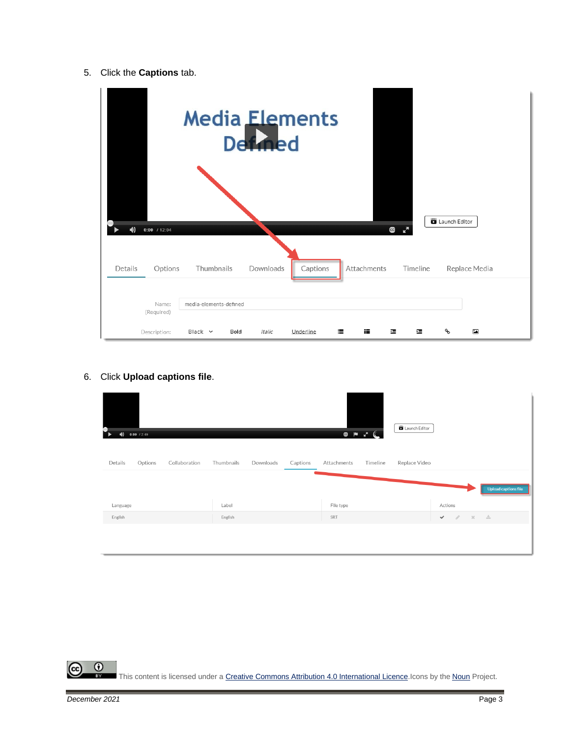5. Click the **Captions** tab.

| $\blacktriangleleft$<br>$0:00$ / 12:04 | <b>Media Elements</b>                     | Def <sub>4</sub> |           |             | G<br>k.  | Launch Editor  |  |
|----------------------------------------|-------------------------------------------|------------------|-----------|-------------|----------|----------------|--|
| Details<br>Options                     | Thumbnails                                | Downloads        | Captions  | Attachments | Timeline | Replace Media  |  |
| Name:<br>(Required)<br>Description:    | media-elements-defined<br>Black v<br>Bold | Italic           | Underline | 這<br>這      | 彊<br>彊   | ዔ<br>$\ddot{}$ |  |

6. Click **Upload captions file**.

| ۰<br>0:00 / 2:49<br>飞<br>$\blacktriangleleft$ |                         |                         | $\begin{picture}(20,20) \put(0,0){\vector(1,0){10}} \put(15,0){\vector(1,0){10}} \put(15,0){\vector(1,0){10}} \put(15,0){\vector(1,0){10}} \put(15,0){\vector(1,0){10}} \put(15,0){\vector(1,0){10}} \put(15,0){\vector(1,0){10}} \put(15,0){\vector(1,0){10}} \put(15,0){\vector(1,0){10}} \put(15,0){\vector(1,0){10}} \put(15,0){\vector(1,0){10}} \put(15,0){\vector(1$ | Launch Editor |                               |                      |
|-----------------------------------------------|-------------------------|-------------------------|-----------------------------------------------------------------------------------------------------------------------------------------------------------------------------------------------------------------------------------------------------------------------------------------------------------------------------------------------------------------------------|---------------|-------------------------------|----------------------|
| Details<br>Options<br>Collaboration           | Thumbnails<br>Downloads | Captions<br>Attachments | Timeline                                                                                                                                                                                                                                                                                                                                                                    | Replace Video |                               | Upload captions file |
| Language                                      | Label                   | File type               |                                                                                                                                                                                                                                                                                                                                                                             |               | Actions                       |                      |
| English                                       | English                 | SRT                     |                                                                                                                                                                                                                                                                                                                                                                             |               | $\mathcal{A}$<br>$\checkmark$ | - スー 志               |
|                                               |                         |                         |                                                                                                                                                                                                                                                                                                                                                                             |               |                               |                      |
|                                               |                         |                         |                                                                                                                                                                                                                                                                                                                                                                             |               |                               |                      |

This content is licensed under [a Creative Commons Attribution 4.0 International Licence.I](https://creativecommons.org/licenses/by/4.0/)cons by the [Noun](https://creativecommons.org/website-icons/) Project.

 $\overline{0}$ 

ල